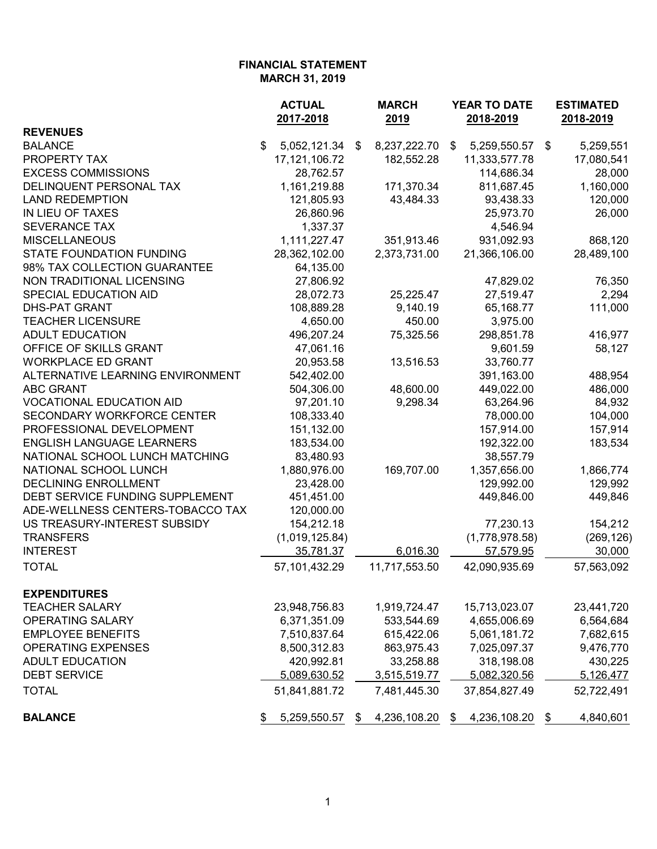|                                  | <b>ACTUAL</b>      | <b>MARCH</b>       | YEAR TO DATE       | <b>ESTIMATED</b><br>2018-2019 |  |
|----------------------------------|--------------------|--------------------|--------------------|-------------------------------|--|
| <b>REVENUES</b>                  | 2017-2018          | 2019               | 2018-2019          |                               |  |
| <b>BALANCE</b>                   | \$<br>5,052,121.34 | 8,237,222.70<br>\$ | \$<br>5,259,550.57 | 5,259,551<br>-\$              |  |
| PROPERTY TAX                     | 17, 121, 106. 72   | 182,552.28         | 11,333,577.78      | 17,080,541                    |  |
| <b>EXCESS COMMISSIONS</b>        | 28,762.57          |                    | 114,686.34         | 28,000                        |  |
| DELINQUENT PERSONAL TAX          | 1,161,219.88       | 171,370.34         | 811,687.45         | 1,160,000                     |  |
| <b>LAND REDEMPTION</b>           | 121,805.93         | 43,484.33          | 93,438.33          | 120,000                       |  |
| IN LIEU OF TAXES                 | 26,860.96          |                    | 25,973.70          | 26,000                        |  |
| <b>SEVERANCE TAX</b>             | 1,337.37           |                    | 4,546.94           |                               |  |
| <b>MISCELLANEOUS</b>             | 1,111,227.47       | 351,913.46         | 931,092.93         | 868,120                       |  |
| <b>STATE FOUNDATION FUNDING</b>  | 28,362,102.00      | 2,373,731.00       | 21,366,106.00      | 28,489,100                    |  |
| 98% TAX COLLECTION GUARANTEE     | 64,135.00          |                    |                    |                               |  |
| NON TRADITIONAL LICENSING        | 27,806.92          |                    | 47,829.02          | 76,350                        |  |
| SPECIAL EDUCATION AID            | 28,072.73          | 25,225.47          | 27,519.47          | 2,294                         |  |
| <b>DHS-PAT GRANT</b>             | 108,889.28         | 9,140.19           | 65,168.77          | 111,000                       |  |
| <b>TEACHER LICENSURE</b>         | 4,650.00           | 450.00             | 3,975.00           |                               |  |
| <b>ADULT EDUCATION</b>           | 496,207.24         | 75,325.56          | 298,851.78         | 416,977                       |  |
| OFFICE OF SKILLS GRANT           | 47,061.16          |                    | 9,601.59           | 58,127                        |  |
| <b>WORKPLACE ED GRANT</b>        | 20,953.58          | 13,516.53          | 33,760.77          |                               |  |
| ALTERNATIVE LEARNING ENVIRONMENT | 542,402.00         |                    | 391,163.00         | 488,954                       |  |
| <b>ABC GRANT</b>                 | 504,306.00         | 48,600.00          | 449,022.00         | 486,000                       |  |
| <b>VOCATIONAL EDUCATION AID</b>  | 97,201.10          | 9,298.34           | 63,264.96          | 84,932                        |  |
| SECONDARY WORKFORCE CENTER       | 108,333.40         |                    | 78,000.00          | 104,000                       |  |
| PROFESSIONAL DEVELOPMENT         | 151,132.00         |                    | 157,914.00         | 157,914                       |  |
| <b>ENGLISH LANGUAGE LEARNERS</b> | 183,534.00         |                    | 192,322.00         | 183,534                       |  |
| NATIONAL SCHOOL LUNCH MATCHING   | 83,480.93          |                    | 38,557.79          |                               |  |
| NATIONAL SCHOOL LUNCH            | 1,880,976.00       | 169,707.00         | 1,357,656.00       | 1,866,774                     |  |
| <b>DECLINING ENROLLMENT</b>      | 23,428.00          |                    | 129,992.00         | 129,992                       |  |
| DEBT SERVICE FUNDING SUPPLEMENT  | 451,451.00         |                    | 449,846.00         | 449,846                       |  |
| ADE-WELLNESS CENTERS-TOBACCO TAX | 120,000.00         |                    |                    |                               |  |
| US TREASURY-INTEREST SUBSIDY     | 154,212.18         |                    | 77,230.13          | 154,212                       |  |
| <b>TRANSFERS</b>                 | (1,019,125.84)     |                    | (1,778,978.58)     | (269, 126)                    |  |
| <b>INTEREST</b>                  | 35,781.37          | 6,016.30           | 57,579.95          | 30,000                        |  |
| <b>TOTAL</b>                     | 57,101,432.29      | 11,717,553.50      | 42,090,935.69      | 57,563,092                    |  |
| <b>EXPENDITURES</b>              |                    |                    |                    |                               |  |
| <b>TEACHER SALARY</b>            | 23,948,756.83      | 1,919,724.47       | 15,713,023.07      | 23,441,720                    |  |
| OPERATING SALARY                 | 6,371,351.09       | 533,544.69         | 4,655,006.69       | 6,564,684                     |  |
| <b>EMPLOYEE BENEFITS</b>         | 7,510,837.64       | 615,422.06         | 5,061,181.72       | 7,682,615                     |  |
| <b>OPERATING EXPENSES</b>        | 8,500,312.83       | 863,975.43         | 7,025,097.37       | 9,476,770                     |  |
| <b>ADULT EDUCATION</b>           | 420,992.81         | 33,258.88          | 318,198.08         | 430,225                       |  |
| <b>DEBT SERVICE</b>              | 5,089,630.52       | 3,515,519.77       | 5,082,320.56       | 5,126,477                     |  |
| <b>TOTAL</b>                     | 51,841,881.72      | 7,481,445.30       | 37,854,827.49      | 52,722,491                    |  |
| <b>BALANCE</b>                   | 5,259,550.57<br>\$ | 4,236,108.20<br>\$ | 4,236,108.20<br>\$ | 4,840,601<br>\$               |  |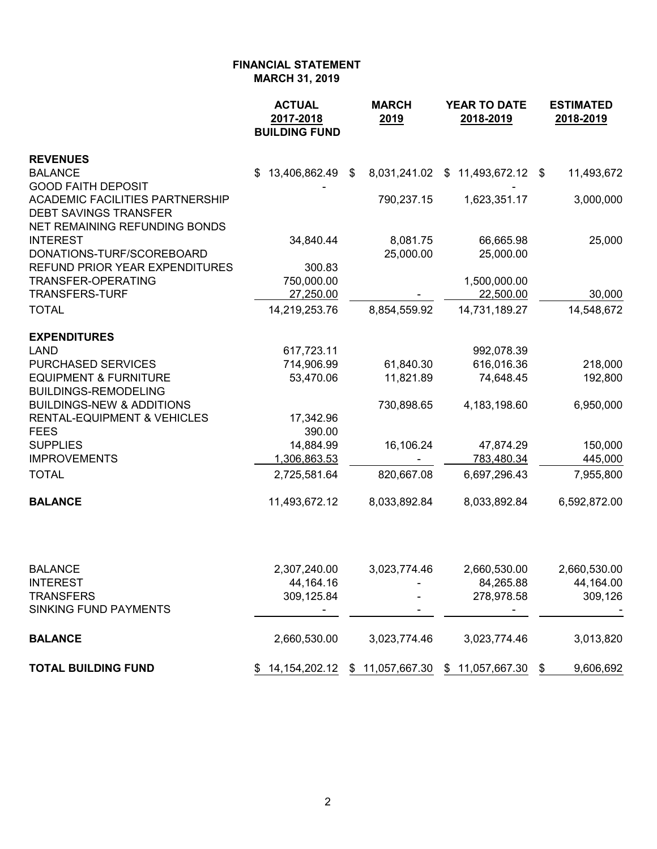|                                                                                                                                      | <b>ACTUAL</b><br>2017-2018<br><b>BUILDING FUND</b> | <b>MARCH</b><br>2019  | <b>YEAR TO DATE</b><br>2018-2019                         | <b>ESTIMATED</b><br>2018-2019 |
|--------------------------------------------------------------------------------------------------------------------------------------|----------------------------------------------------|-----------------------|----------------------------------------------------------|-------------------------------|
| <b>REVENUES</b>                                                                                                                      |                                                    |                       |                                                          |                               |
| <b>BALANCE</b>                                                                                                                       | 13,406,862.49<br>S.                                | -\$                   | 8,031,241.02 \$ 11,493,672.12 \$                         | 11,493,672                    |
| <b>GOOD FAITH DEPOSIT</b><br><b>ACADEMIC FACILITIES PARTNERSHIP</b><br><b>DEBT SAVINGS TRANSFER</b><br>NET REMAINING REFUNDING BONDS |                                                    | 790,237.15            | 1,623,351.17                                             | 3,000,000                     |
| <b>INTEREST</b><br>DONATIONS-TURF/SCOREBOARD                                                                                         | 34,840.44                                          | 8,081.75<br>25,000.00 | 66,665.98<br>25,000.00                                   | 25,000                        |
| REFUND PRIOR YEAR EXPENDITURES                                                                                                       | 300.83                                             |                       |                                                          |                               |
| <b>TRANSFER-OPERATING</b>                                                                                                            | 750,000.00                                         |                       | 1,500,000.00                                             |                               |
| <b>TRANSFERS-TURF</b>                                                                                                                | 27,250.00                                          |                       | 22,500.00                                                | 30,000                        |
| <b>TOTAL</b>                                                                                                                         | 14,219,253.76                                      | 8,854,559.92          | 14,731,189.27                                            | 14,548,672                    |
| <b>EXPENDITURES</b>                                                                                                                  |                                                    |                       |                                                          |                               |
| <b>LAND</b>                                                                                                                          | 617,723.11                                         |                       | 992,078.39                                               |                               |
| <b>PURCHASED SERVICES</b>                                                                                                            | 714,906.99                                         | 61,840.30             | 616,016.36                                               | 218,000                       |
| <b>EQUIPMENT &amp; FURNITURE</b><br><b>BUILDINGS-REMODELING</b>                                                                      | 53,470.06                                          | 11,821.89             | 74,648.45                                                | 192,800                       |
| <b>BUILDINGS-NEW &amp; ADDITIONS</b>                                                                                                 |                                                    | 730,898.65            | 4, 183, 198.60                                           | 6,950,000                     |
| <b>RENTAL-EQUIPMENT &amp; VEHICLES</b>                                                                                               | 17,342.96                                          |                       |                                                          |                               |
| <b>FEES</b>                                                                                                                          | 390.00                                             |                       |                                                          |                               |
| <b>SUPPLIES</b><br><b>IMPROVEMENTS</b>                                                                                               | 14,884.99                                          | 16,106.24             | 47,874.29<br>783,480.34                                  | 150,000<br>445,000            |
| <b>TOTAL</b>                                                                                                                         | 1,306,863.53<br>2,725,581.64                       | 820,667.08            | 6,697,296.43                                             | 7,955,800                     |
|                                                                                                                                      |                                                    |                       |                                                          |                               |
| <b>BALANCE</b>                                                                                                                       | 11,493,672.12                                      | 8,033,892.84          | 8,033,892.84                                             | 6,592,872.00                  |
| <b>BALANCE</b>                                                                                                                       | 2,307,240.00                                       | 3,023,774.46          | 2,660,530.00                                             | 2,660,530.00                  |
| <b>INTEREST</b>                                                                                                                      | 44,164.16                                          |                       | 84,265.88                                                | 44,164.00                     |
| <b>TRANSFERS</b><br>SINKING FUND PAYMENTS                                                                                            | 309,125.84                                         |                       | 278,978.58                                               | 309,126                       |
| <b>BALANCE</b>                                                                                                                       | 2,660,530.00                                       | 3,023,774.46          | 3,023,774.46                                             | 3,013,820                     |
| <b>TOTAL BUILDING FUND</b>                                                                                                           |                                                    |                       | 14, 154, 202. 12 \$ 11, 057, 667. 30 \$ 11, 057, 667. 30 | 9,606,692<br>\$               |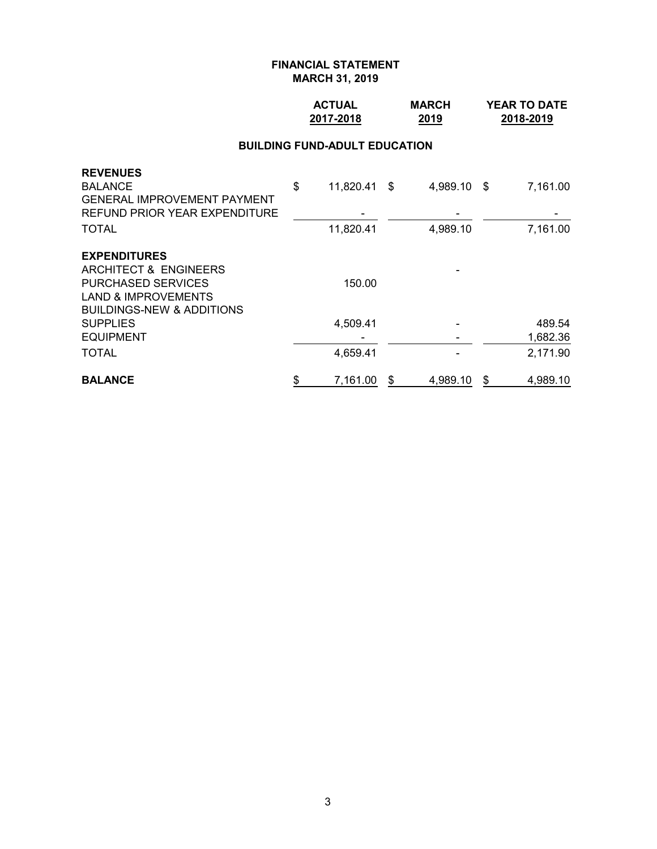## **ACTUAL MARCH YEAR TO DATE 2017-2018 2019 2018-2019**

#### **BUILDING FUND-ADULT EDUCATION**

| <b>TOTAL</b>                                                               | 4,659.41           |          |      | 2,171.90 |
|----------------------------------------------------------------------------|--------------------|----------|------|----------|
| <b>EQUIPMENT</b>                                                           |                    |          |      | 1,682.36 |
| <b>SUPPLIES</b>                                                            | 4,509.41           |          |      | 489.54   |
| <b>LAND &amp; IMPROVEMENTS</b><br><b>BUILDINGS-NEW &amp; ADDITIONS</b>     |                    |          |      |          |
| <b>PURCHASED SERVICES</b>                                                  | 150.00             |          |      |          |
| ARCHITECT & ENGINEERS                                                      |                    |          |      |          |
| <b>EXPENDITURES</b>                                                        |                    |          |      |          |
| <b>TOTAL</b>                                                               | 11,820.41          | 4,989.10 |      | 7,161.00 |
| <b>GENERAL IMPROVEMENT PAYMENT</b><br><b>REFUND PRIOR YEAR EXPENDITURE</b> |                    |          |      |          |
| <b>REVENUES</b><br><b>BALANCE</b>                                          | \$<br>11,820.41 \$ | 4,989.10 | - \$ | 7,161.00 |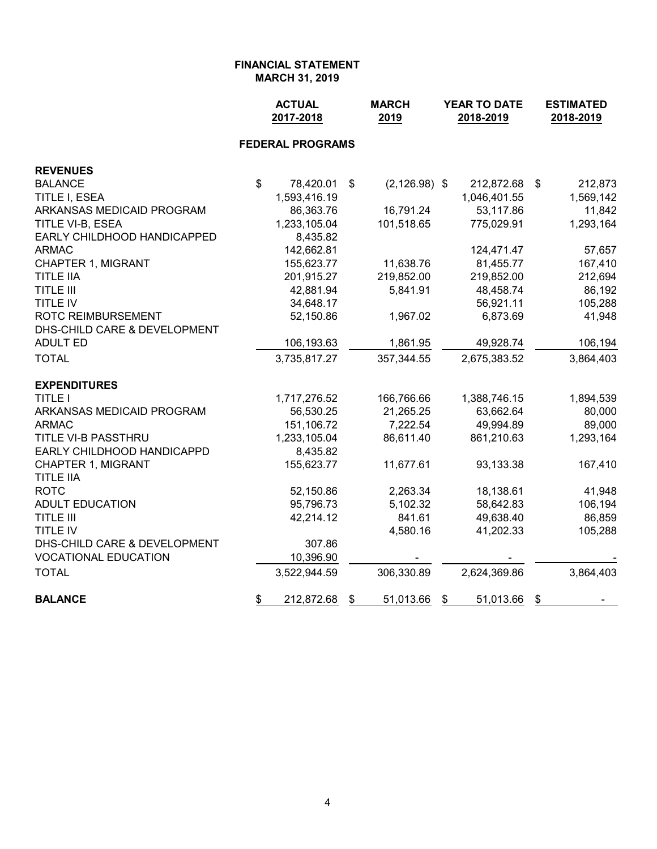|                                               | <b>ACTUAL</b><br>2017-2018 |                         | <b>MARCH</b><br>2019   |    | YEAR TO DATE<br>2018-2019 |    | <b>ESTIMATED</b><br>2018-2019 |
|-----------------------------------------------|----------------------------|-------------------------|------------------------|----|---------------------------|----|-------------------------------|
|                                               |                            | <b>FEDERAL PROGRAMS</b> |                        |    |                           |    |                               |
| <b>REVENUES</b>                               |                            |                         |                        |    |                           |    |                               |
| <b>BALANCE</b>                                | \$                         | 78,420.01               | \$<br>$(2, 126.98)$ \$ |    | 212,872.68                | \$ | 212,873                       |
| TITLE I, ESEA                                 |                            | 1,593,416.19            |                        |    | 1,046,401.55              |    | 1,569,142                     |
| ARKANSAS MEDICAID PROGRAM                     |                            | 86,363.76               | 16,791.24              |    | 53,117.86                 |    | 11,842                        |
| TITLE VI-B, ESEA                              |                            | 1,233,105.04            | 101,518.65             |    | 775,029.91                |    | 1,293,164                     |
| EARLY CHILDHOOD HANDICAPPED                   |                            | 8,435.82                |                        |    |                           |    |                               |
| <b>ARMAC</b>                                  |                            | 142,662.81              |                        |    | 124,471.47                |    | 57,657                        |
| <b>CHAPTER 1, MIGRANT</b>                     |                            | 155,623.77              | 11,638.76              |    | 81,455.77                 |    | 167,410                       |
| <b>TITLE IIA</b>                              |                            | 201,915.27              | 219,852.00             |    | 219,852.00                |    | 212,694                       |
| <b>TITLE III</b>                              |                            | 42,881.94               | 5,841.91               |    | 48,458.74                 |    | 86,192                        |
| <b>TITLE IV</b>                               |                            | 34,648.17               |                        |    | 56,921.11                 |    | 105,288                       |
| <b>ROTC REIMBURSEMENT</b>                     |                            | 52,150.86               | 1,967.02               |    | 6,873.69                  |    | 41,948                        |
| DHS-CHILD CARE & DEVELOPMENT                  |                            |                         |                        |    |                           |    |                               |
| <b>ADULT ED</b>                               |                            | 106,193.63              | 1,861.95               |    | 49,928.74                 |    | 106,194                       |
| <b>TOTAL</b>                                  |                            | 3,735,817.27            | 357,344.55             |    | 2,675,383.52              |    | 3,864,403                     |
| <b>EXPENDITURES</b>                           |                            |                         |                        |    |                           |    |                               |
| <b>TITLE I</b>                                |                            | 1,717,276.52            | 166,766.66             |    | 1,388,746.15              |    | 1,894,539                     |
| ARKANSAS MEDICAID PROGRAM                     |                            | 56,530.25               | 21,265.25              |    | 63,662.64                 |    | 80,000                        |
| <b>ARMAC</b>                                  |                            | 151,106.72              | 7,222.54               |    | 49,994.89                 |    | 89,000                        |
| TITLE VI-B PASSTHRU                           |                            | 1,233,105.04            | 86,611.40              |    | 861,210.63                |    | 1,293,164                     |
| EARLY CHILDHOOD HANDICAPPD                    |                            | 8,435.82                |                        |    |                           |    |                               |
| <b>CHAPTER 1, MIGRANT</b><br><b>TITLE IIA</b> |                            | 155,623.77              | 11,677.61              |    | 93,133.38                 |    | 167,410                       |
| <b>ROTC</b>                                   |                            | 52,150.86               | 2,263.34               |    | 18,138.61                 |    | 41,948                        |
| <b>ADULT EDUCATION</b>                        |                            | 95,796.73               | 5,102.32               |    | 58,642.83                 |    | 106,194                       |
| <b>TITLE III</b>                              |                            | 42,214.12               | 841.61                 |    | 49,638.40                 |    | 86,859                        |
| TITLE IV                                      |                            |                         | 4,580.16               |    | 41,202.33                 |    | 105,288                       |
| DHS-CHILD CARE & DEVELOPMENT                  |                            | 307.86                  |                        |    |                           |    |                               |
| <b>VOCATIONAL EDUCATION</b>                   |                            | 10,396.90               |                        |    |                           |    |                               |
| <b>TOTAL</b>                                  |                            | 3,522,944.59            | 306,330.89             |    | 2,624,369.86              |    | 3,864,403                     |
| <b>BALANCE</b>                                | \$                         | 212,872.68              | \$<br>51,013.66        | \$ | 51,013.66                 | \$ |                               |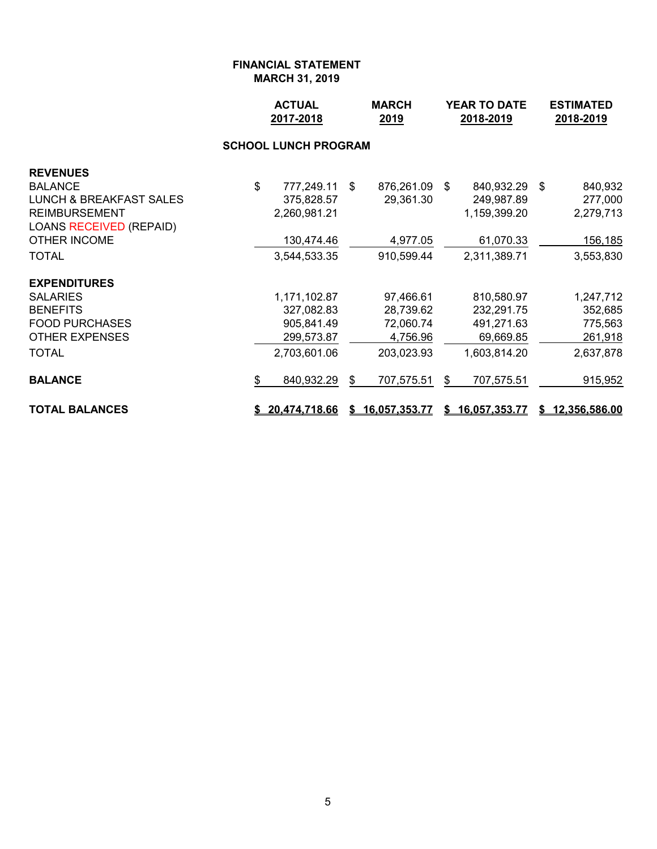|                                    | <b>ACTUAL</b><br>2017-2018  |      | <b>MARCH</b><br>2019 |      | YEAR TO DATE<br>2018-2019 | <b>ESTIMATED</b><br>2018-2019 |                 |  |
|------------------------------------|-----------------------------|------|----------------------|------|---------------------------|-------------------------------|-----------------|--|
|                                    | <b>SCHOOL LUNCH PROGRAM</b> |      |                      |      |                           |                               |                 |  |
| <b>REVENUES</b>                    |                             |      |                      |      |                           |                               |                 |  |
| <b>BALANCE</b>                     | \$<br>777,249.11            | - \$ | 876,261.09           | - \$ | 840,932.29 \$             |                               | 840,932         |  |
| <b>LUNCH &amp; BREAKFAST SALES</b> | 375,828.57                  |      | 29,361.30            |      | 249,987.89                |                               | 277,000         |  |
| REIMBURSEMENT                      | 2,260,981.21                |      |                      |      | 1,159,399.20              |                               | 2,279,713       |  |
| LOANS RECEIVED (REPAID)            |                             |      |                      |      |                           |                               |                 |  |
| OTHER INCOME                       | 130,474.46                  |      | 4,977.05             |      | 61,070.33                 |                               | <u>156,185</u>  |  |
| TOTAL                              | 3,544,533.35                |      | 910,599.44           |      | 2,311,389.71              |                               | 3,553,830       |  |
| <b>EXPENDITURES</b>                |                             |      |                      |      |                           |                               |                 |  |
| SALARIES                           | 1,171,102.87                |      | 97,466.61            |      | 810,580.97                |                               | 1,247,712       |  |
| <b>BENEFITS</b>                    | 327,082.83                  |      | 28,739.62            |      | 232,291.75                |                               | 352,685         |  |
| <b>FOOD PURCHASES</b>              | 905,841.49                  |      | 72,060.74            |      | 491,271.63                |                               | 775,563         |  |
| <b>OTHER EXPENSES</b>              | 299,573.87                  |      | 4,756.96             |      | 69,669.85                 |                               | 261,918         |  |
| TOTAL                              | 2,703,601.06                |      | 203,023.93           |      | 1,603,814.20              |                               | 2,637,878       |  |
| <b>BALANCE</b>                     | \$<br>840,932.29            | \$   | 707,575.51           | \$   | 707,575.51                |                               | 915,952         |  |
| <b>TOTAL BALANCES</b>              | \$20,474,718.66             | S.   | 16,057,353.77        |      | \$16,057,353.77           |                               | \$12,356,586.00 |  |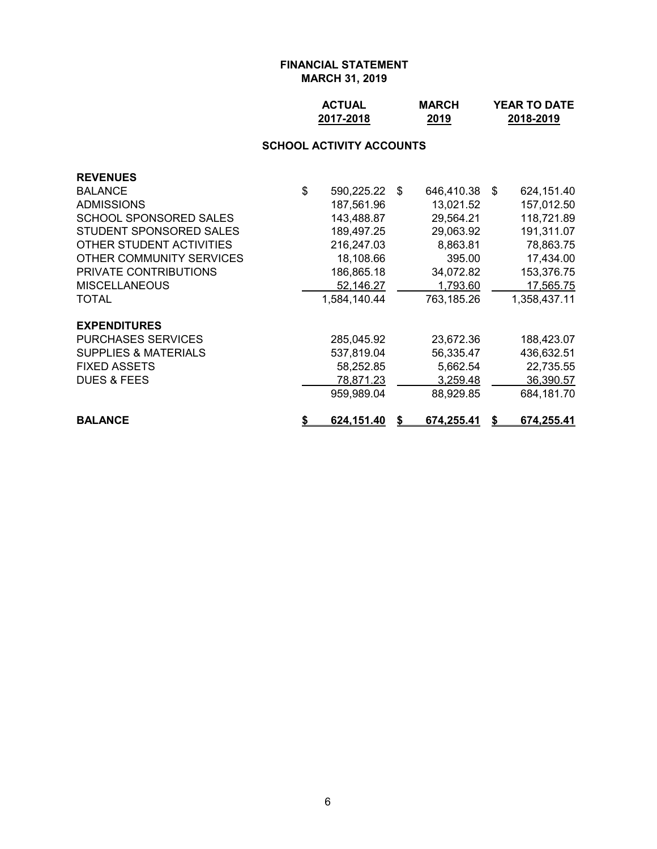| <b>ACTUAL</b> | <b>MARCH</b> | <b>YEAR TO DATE</b> |
|---------------|--------------|---------------------|
| 2017-2018     | 2019         | 2018-2019           |

# **SCHOOL ACTIVITY ACCOUNTS**

| <b>REVENUES</b>                 |                  |                  |    |              |
|---------------------------------|------------------|------------------|----|--------------|
| <b>BALANCE</b>                  | \$<br>590,225.22 | \$<br>646,410.38 | -S | 624,151.40   |
| <b>ADMISSIONS</b>               | 187,561.96       | 13,021.52        |    | 157,012.50   |
| SCHOOL SPONSORED SALES          | 143,488.87       | 29,564.21        |    | 118,721.89   |
| STUDENT SPONSORED SALES         | 189,497.25       | 29,063.92        |    | 191,311.07   |
| OTHER STUDENT ACTIVITIES        | 216,247.03       | 8,863.81         |    | 78,863.75    |
| OTHER COMMUNITY SERVICES        | 18,108.66        | 395.00           |    | 17,434.00    |
| <b>PRIVATE CONTRIBUTIONS</b>    | 186,865.18       | 34,072.82        |    | 153,376.75   |
| <b>MISCELLANEOUS</b>            | 52,146.27        | 1,793.60         |    | 17,565.75    |
| TOTAL                           | 1,584,140.44     | 763,185.26       |    | 1,358,437.11 |
| <b>EXPENDITURES</b>             |                  |                  |    |              |
| <b>PURCHASES SERVICES</b>       | 285,045.92       | 23,672.36        |    | 188,423.07   |
| <b>SUPPLIES &amp; MATERIALS</b> | 537,819.04       | 56,335.47        |    | 436,632.51   |
| <b>FIXED ASSETS</b>             | 58,252.85        | 5,662.54         |    | 22,735.55    |
| <b>DUES &amp; FEES</b>          | 78,871.23        | 3,259.48         |    | 36,390.57    |
|                                 | 959,989.04       | 88,929.85        |    | 684,181.70   |
| <b>BALANCE</b>                  | 624,151.40       | 674,255.41       |    | 674,255.41   |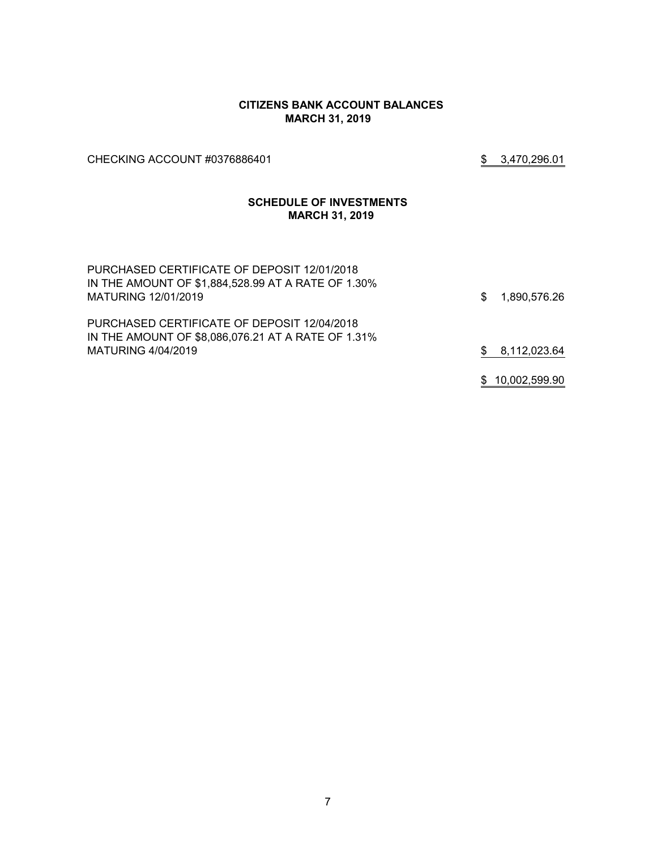#### **CITIZENS BANK ACCOUNT BALANCES MARCH 31, 2019**

CHECKING ACCOUNT #0376886401 \$ 3,470,296.01

#### **SCHEDULE OF INVESTMENTS MARCH 31, 2019**

| PURCHASED CERTIFICATE OF DEPOSIT 12/01/2018<br>IN THE AMOUNT OF \$1,884,528.99 AT A RATE OF 1.30%<br>MATURING 12/01/2019 | SS. | 1,890,576.26    |
|--------------------------------------------------------------------------------------------------------------------------|-----|-----------------|
| PURCHASED CERTIFICATE OF DEPOSIT 12/04/2018<br>IN THE AMOUNT OF \$8,086,076.21 AT A RATE OF 1.31%                        |     |                 |
| MATURING 4/04/2019                                                                                                       | S.  | 8,112,023.64    |
|                                                                                                                          |     |                 |
|                                                                                                                          |     | \$10,002,599.90 |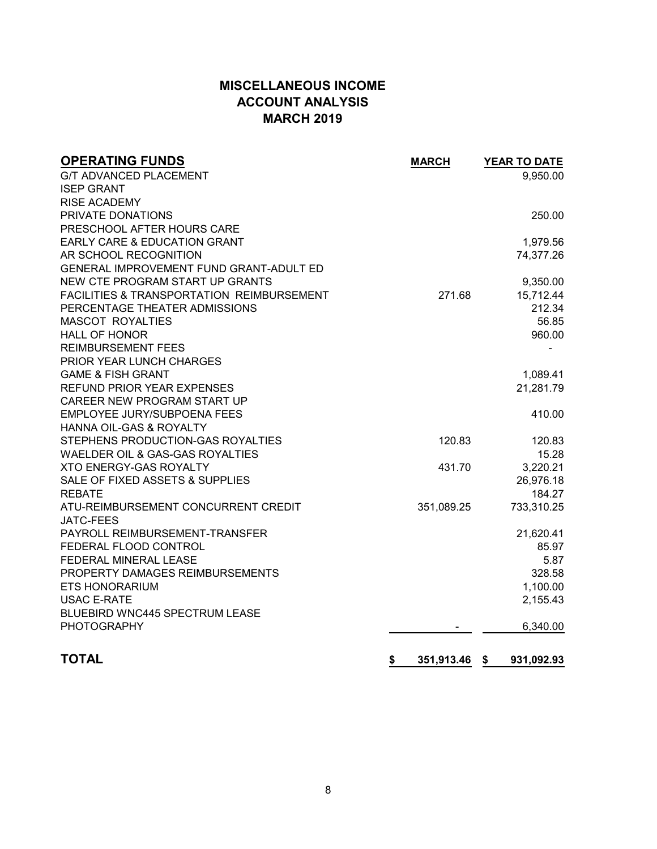# **MISCELLANEOUS INCOME ACCOUNT ANALYSIS MARCH 2019**

| <b>OPERATING FUNDS</b>                               | <b>MARCH</b>        | YEAR TO DATE |
|------------------------------------------------------|---------------------|--------------|
| <b>G/T ADVANCED PLACEMENT</b>                        |                     | 9,950.00     |
| <b>ISEP GRANT</b>                                    |                     |              |
| <b>RISE ACADEMY</b>                                  |                     |              |
| PRIVATE DONATIONS                                    |                     | 250.00       |
| PRESCHOOL AFTER HOURS CARE                           |                     |              |
| <b>EARLY CARE &amp; EDUCATION GRANT</b>              |                     | 1,979.56     |
| AR SCHOOL RECOGNITION                                |                     | 74,377.26    |
| GENERAL IMPROVEMENT FUND GRANT-ADULT ED              |                     |              |
| NEW CTE PROGRAM START UP GRANTS                      |                     | 9,350.00     |
| <b>FACILITIES &amp; TRANSPORTATION REIMBURSEMENT</b> | 271.68              | 15,712.44    |
| PERCENTAGE THEATER ADMISSIONS                        |                     | 212.34       |
| <b>MASCOT ROYALTIES</b>                              |                     | 56.85        |
| <b>HALL OF HONOR</b>                                 |                     | 960.00       |
| <b>REIMBURSEMENT FEES</b>                            |                     |              |
| PRIOR YEAR LUNCH CHARGES                             |                     |              |
| <b>GAME &amp; FISH GRANT</b>                         |                     | 1,089.41     |
| <b>REFUND PRIOR YEAR EXPENSES</b>                    |                     | 21,281.79    |
| CAREER NEW PROGRAM START UP                          |                     |              |
| EMPLOYEE JURY/SUBPOENA FEES                          |                     | 410.00       |
| <b>HANNA OIL-GAS &amp; ROYALTY</b>                   |                     |              |
| STEPHENS PRODUCTION-GAS ROYALTIES                    | 120.83              | 120.83       |
| WAELDER OIL & GAS-GAS ROYALTIES                      |                     | 15.28        |
| <b>XTO ENERGY-GAS ROYALTY</b>                        | 431.70              | 3,220.21     |
| SALE OF FIXED ASSETS & SUPPLIES                      |                     | 26,976.18    |
| <b>REBATE</b>                                        |                     | 184.27       |
| ATU-REIMBURSEMENT CONCURRENT CREDIT                  | 351,089.25          | 733,310.25   |
| <b>JATC-FEES</b>                                     |                     |              |
| PAYROLL REIMBURSEMENT-TRANSFER                       |                     | 21,620.41    |
| FEDERAL FLOOD CONTROL                                |                     | 85.97        |
| FEDERAL MINERAL LEASE                                |                     | 5.87         |
| PROPERTY DAMAGES REIMBURSEMENTS                      |                     | 328.58       |
| <b>ETS HONORARIUM</b>                                |                     | 1,100.00     |
| <b>USAC E-RATE</b>                                   |                     | 2,155.43     |
| <b>BLUEBIRD WNC445 SPECTRUM LEASE</b>                |                     |              |
| <b>PHOTOGRAPHY</b>                                   |                     | 6,340.00     |
|                                                      |                     |              |
| <b>TOTAL</b>                                         | 351,913.46 \$<br>\$ | 931,092.93   |